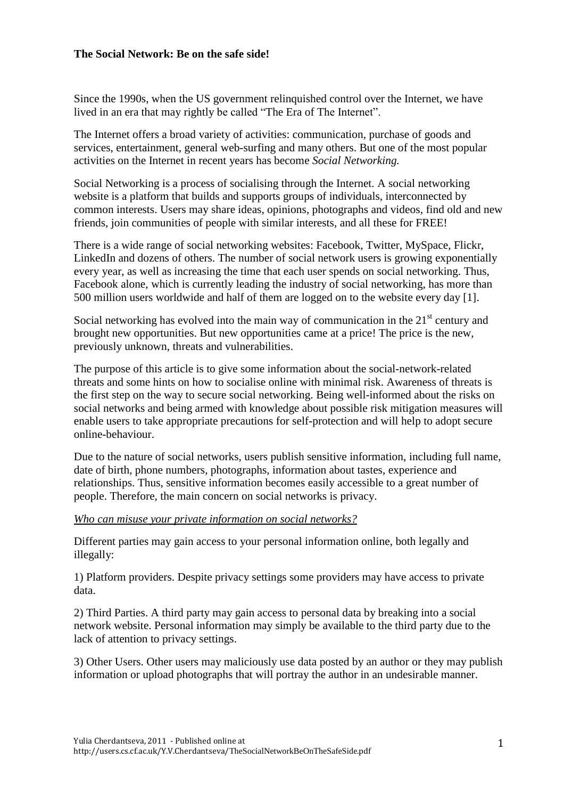### **The Social Network: Be on the safe side!**

Since the 1990s, when the US government relinquished control over the Internet, we have lived in an era that may rightly be called "The Era of The Internet".

The Internet offers a broad variety of activities: communication, purchase of goods and services, entertainment, general web-surfing and many others. But one of the most popular activities on the Internet in recent years has become *Social Networking.*

Social Networking is a process of socialising through the Internet. A social networking website is a platform that builds and supports groups of individuals, interconnected by common interests. Users may share ideas, opinions, photographs and videos, find old and new friends, join communities of people with similar interests, and all these for FREE!

There is a wide range of social networking websites: Facebook, Twitter, MySpace, Flickr, LinkedIn and dozens of others. The number of social network users is growing exponentially every year, as well as increasing the time that each user spends on social networking. Thus, Facebook alone, which is currently leading the industry of social networking, has more than 500 million users worldwide and half of them are logged on to the website every day [1].

Social networking has evolved into the main way of communication in the  $21<sup>st</sup>$  century and brought new opportunities. But new opportunities came at a price! The price is the new, previously unknown, threats and vulnerabilities.

The purpose of this article is to give some information about the social-network-related threats and some hints on how to socialise online with minimal risk. Awareness of threats is the first step on the way to secure social networking. Being well-informed about the risks on social networks and being armed with knowledge about possible risk mitigation measures will enable users to take appropriate precautions for self-protection and will help to adopt secure online-behaviour.

Due to the nature of social networks, users publish sensitive information, including full name, date of birth, phone numbers, photographs, information about tastes, experience and relationships. Thus, sensitive information becomes easily accessible to a great number of people. Therefore, the main concern on social networks is privacy.

*Who can misuse your private information on social networks?*

Different parties may gain access to your personal information online, both legally and illegally:

1) Platform providers. Despite privacy settings some providers may have access to private data.

2) Third Parties. A third party may gain access to personal data by breaking into a social network website. Personal information may simply be available to the third party due to the lack of attention to privacy settings.

3) Other Users. Other users may maliciously use data posted by an author or they may publish information or upload photographs that will portray the author in an undesirable manner.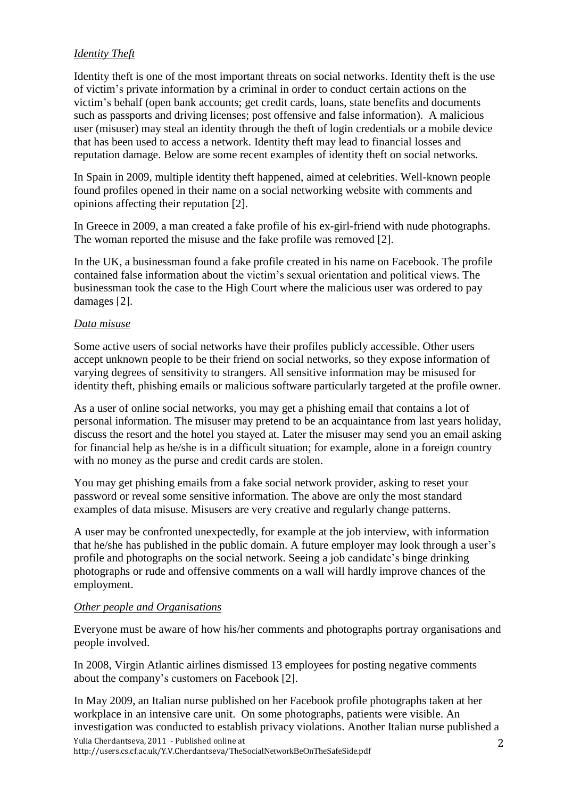# *Identity Theft*

Identity theft is one of the most important threats on social networks. Identity theft is the use of victim's private information by a criminal in order to conduct certain actions on the victim's behalf (open bank accounts; get credit cards, loans, state benefits and documents such as passports and driving licenses; post offensive and false information). A malicious user (misuser) may steal an identity through the theft of login credentials or a mobile device that has been used to access a network. Identity theft may lead to financial losses and reputation damage. Below are some recent examples of identity theft on social networks.

In Spain in 2009, multiple identity theft happened, aimed at celebrities. Well-known people found profiles opened in their name on a social networking website with comments and opinions affecting their reputation [2].

In Greece in 2009, a man created a fake profile of his ex-girl-friend with nude photographs. The woman reported the misuse and the fake profile was removed [2].

In the UK, a businessman found a fake profile created in his name on Facebook. The profile contained false information about the victim's sexual orientation and political views. The businessman took the case to the High Court where the malicious user was ordered to pay damages [2].

## *Data misuse*

Some active users of social networks have their profiles publicly accessible. Other users accept unknown people to be their friend on social networks, so they expose information of varying degrees of sensitivity to strangers. All sensitive information may be misused for identity theft, phishing emails or malicious software particularly targeted at the profile owner.

As a user of online social networks, you may get a phishing email that contains a lot of personal information. The misuser may pretend to be an acquaintance from last years holiday, discuss the resort and the hotel you stayed at. Later the misuser may send you an email asking for financial help as he/she is in a difficult situation; for example, alone in a foreign country with no money as the purse and credit cards are stolen.

You may get phishing emails from a fake social network provider, asking to reset your password or reveal some sensitive information. The above are only the most standard examples of data misuse. Misusers are very creative and regularly change patterns.

A user may be confronted unexpectedly, for example at the job interview, with information that he/she has published in the public domain. A future employer may look through a user's profile and photographs on the social network. Seeing a job candidate's binge drinking photographs or rude and offensive comments on a wall will hardly improve chances of the employment.

# *Other people and Organisations*

Everyone must be aware of how his/her comments and photographs portray organisations and people involved.

In 2008, Virgin Atlantic airlines dismissed 13 employees for posting negative comments about the company's customers on Facebook [2].

Yulia Cherdantseva, 2011 - Published online at In May 2009, an Italian nurse published on her Facebook profile photographs taken at her workplace in an intensive care unit. On some photographs, patients were visible. An investigation was conducted to establish privacy violations. Another Italian nurse published a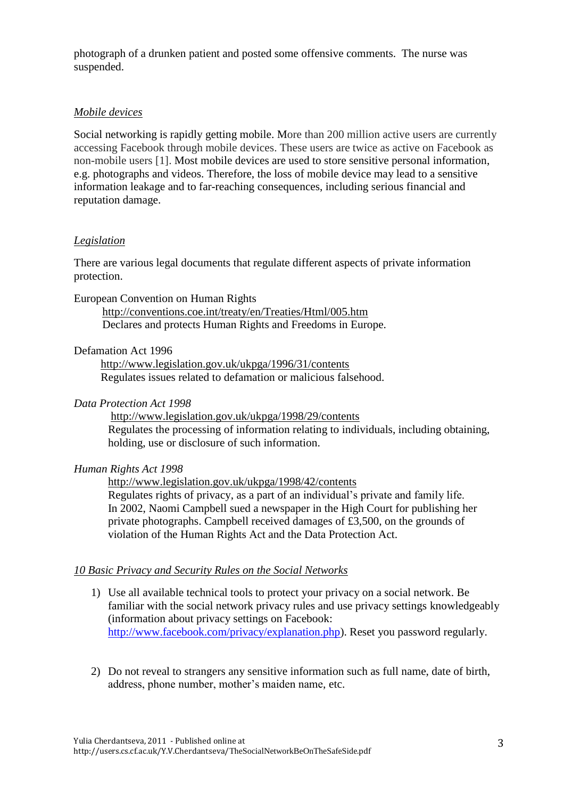photograph of a drunken patient and posted some offensive comments. The nurse was suspended.

## *Mobile devices*

Social networking is rapidly getting mobile. More than 200 million active users are currently accessing Facebook through mobile devices. These users are twice as active on Facebook as non-mobile users [1]. Most mobile devices are used to store sensitive personal information, e.g. photographs and videos. Therefore, the loss of mobile device may lead to a sensitive information leakage and to far-reaching consequences, including serious financial and reputation damage.

## *Legislation*

There are various legal documents that regulate different aspects of private information protection.

European Convention on Human Rights

 <http://conventions.coe.int/treaty/en/Treaties/Html/005.htm> Declares and protects Human Rights and Freedoms in Europe.

# Defamation Act 1996

<http://www.legislation.gov.uk/ukpga/1996/31/contents> Regulates issues related to defamation or malicious falsehood.

### *Data Protection Act 1998*

<http://www.legislation.gov.uk/ukpga/1998/29/contents> Regulates the processing of information relating to individuals, including obtaining, holding, use or disclosure of such information.

#### *Human Rights Act 1998*

<http://www.legislation.gov.uk/ukpga/1998/42/contents> Regulates rights of privacy, as a part of an individual's private and family life. In 2002, Naomi Campbell sued a newspaper in the High Court for publishing her private photographs. Campbell received damages of £3,500, on the grounds of violation of the Human Rights Act and the Data Protection Act.

#### *10 Basic Privacy and Security Rules on the Social Networks*

- 1) Use all available technical tools to protect your privacy on a social network. Be familiar with the social network privacy rules and use privacy settings knowledgeably (information about privacy settings on Facebook: [http://www.facebook.com/privacy/explanation.php\)](http://www.facebook.com/privacy/explanation.php). Reset you password regularly.
- 2) Do not reveal to strangers any sensitive information such as full name, date of birth, address, phone number, mother's maiden name, etc.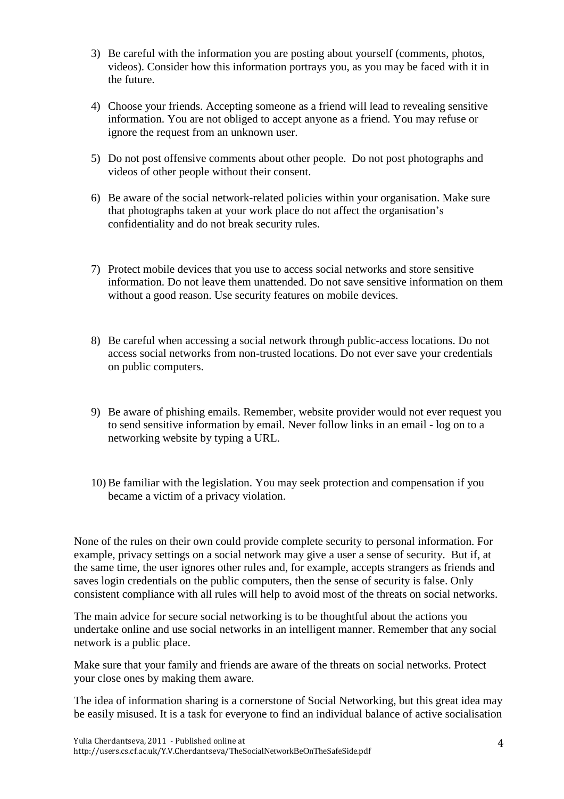- 3) Be careful with the information you are posting about yourself (comments, photos, videos). Consider how this information portrays you, as you may be faced with it in the future.
- 4) Choose your friends. Accepting someone as a friend will lead to revealing sensitive information. You are not obliged to accept anyone as a friend. You may refuse or ignore the request from an unknown user.
- 5) Do not post offensive comments about other people. Do not post photographs and videos of other people without their consent.
- 6) Be aware of the social network-related policies within your organisation. Make sure that photographs taken at your work place do not affect the organisation's confidentiality and do not break security rules.
- 7) Protect mobile devices that you use to access social networks and store sensitive information. Do not leave them unattended. Do not save sensitive information on them without a good reason. Use security features on mobile devices.
- 8) Be careful when accessing a social network through public-access locations. Do not access social networks from non-trusted locations. Do not ever save your credentials on public computers.
- 9) Be aware of phishing emails. Remember, website provider would not ever request you to send sensitive information by email. Never follow links in an email - log on to a networking website by typing a URL.
- 10)Be familiar with the legislation. You may seek protection and compensation if you became a victim of a privacy violation.

None of the rules on their own could provide complete security to personal information. For example, privacy settings on a social network may give a user a sense of security. But if, at the same time, the user ignores other rules and, for example, accepts strangers as friends and saves login credentials on the public computers, then the sense of security is false. Only consistent compliance with all rules will help to avoid most of the threats on social networks.

The main advice for secure social networking is to be thoughtful about the actions you undertake online and use social networks in an intelligent manner. Remember that any social network is a public place.

Make sure that your family and friends are aware of the threats on social networks. Protect your close ones by making them aware.

The idea of information sharing is a cornerstone of Social Networking, but this great idea may be easily misused. It is a task for everyone to find an individual balance of active socialisation